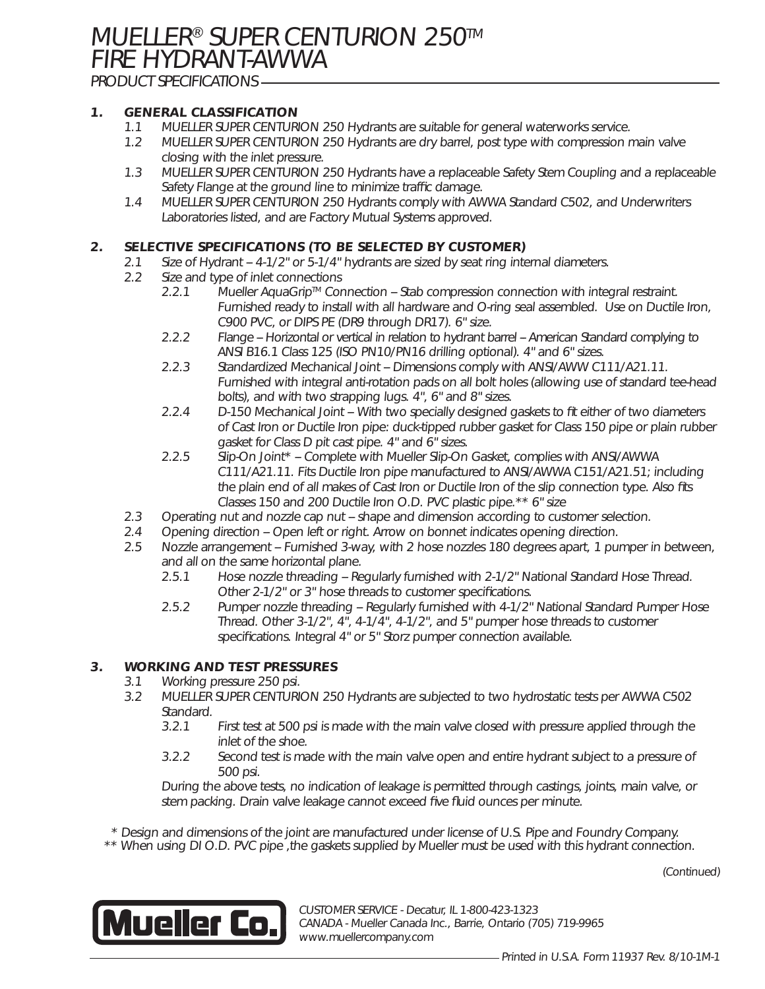**MUELLER® SUPER CENTURION 250™** FIRE HYDRANT-AWWA

PRODUCT SPECIFICATIONS

### **1. GENERAL CLASSIFICATION**

- **1.1** MUELLER SUPER CENTURION 250 Hydrants are suitable for general waterworks service.
- 1.2 MUELLER SUPER CENTURION 250 Hydrants are dry barrel, post type with compression main valve closing with the inlet pressure.
- 1.3 MUELLER SUPER CENTURION 250 Hydrants have a replaceable Safety Stem Coupling and a replaceable Safety Flange at the ground line to minimize traffic damage.
- 1.4 MUELLER SUPER CENTURION 250 Hydrants comply with AWWA Standard C502, and Underwriters Laboratories listed, and are Factory Mutual Systems approved.

#### **2. SELECTIVE SPECIFICATIONS (TO BE SELECTED BY CUSTOMER)**

- 2.1 Size of Hydrant -- 4-1/2" or 5-1/4" hydrants are sized by seat ring internal diameters.
- 2.2 Size and type of inlet connections
	- 2.2.1 Mueller AquaGrip™ Connection -- Stab compression connection with integral restraint. Furnished ready to install with all hardware and O-ring seal assembled. Use on Ductile Iron, C900 PVC, or DIPS PE (DR9 through DR17). 6" size.
	- 2.2.2 Flange -- Horizontal or vertical in relation to hydrant barrel -- American Standard complying to ANSI B16.1 Class 125 (ISO PN10/PN16 drilling optional). 4" and 6" sizes.
	- 2.2.3 Standardized Mechanical Joint -- Dimensions comply with ANSI/AWW C111/A21.11. Furnished with integral anti-rotation pads on all bolt holes (allowing use of standard tee-head bolts), and with two strapping lugs. 4", 6" and 8" sizes.
	- 2.2.4 D-150 Mechanical Joint -- With two specially designed gaskets to fit either of two diameters of Cast Iron or Ductile Iron pipe: duck-tipped rubber gasket for Class 150 pipe or plain rubber gasket for Class D pit cast pipe. 4" and 6" sizes.
	- 2.2.5 Slip-On Joint\* -- Complete with Mueller Slip-On Gasket, complies with ANSI/AWWA C111/A21.11. Fits Ductile Iron pipe manufactured to ANSI/AWWA C151/A21.51; including the plain end of all makes of Cast Iron or Ductile Iron of the slip connection type. Also fits Classes 150 and 200 Ductile Iron O.D. PVC plastic pipe.\*\* 6" size
- 2.3 Operating nut and nozzle cap nut -- shape and dimension according to customer selection.
- 2.4 Opening direction -- Open left or right. Arrow on bonnet indicates opening direction.
- 2.5 Nozzle arrangement -- Furnished 3-way, with 2 hose nozzles 180 degrees apart, 1 pumper in between, and all on the same horizontal plane.
	- 2.5.1 Hose nozzle threading -- Regularly furnished with 2-1/2" National Standard Hose Thread. Other 2-1/2" or 3" hose threads to customer specifications.
	- 2.5.2 Pumper nozzle threading -- Regularly furnished with 4-1/2" National Standard Pumper Hose Thread. Other 3-1/2", 4", 4-1/4", 4-1/2", and 5" pumper hose threads to customer specifications. Integral 4" or 5" Storz pumper connection available.

## **3. WORKING AND TEST PRESSURES**

- 3.1 Working pressure 250 psi.
- 3.2 MUELLER SUPER CENTURION 250 Hydrants are subjected to two hydrostatic tests per AWWA C502 Standard.
	- 3.2.1 First test at 500 psi is made with the main valve closed with pressure applied through the inlet of the shoe.
	- 3.2.2 Second test is made with the main valve open and entire hydrant subject to a pressure of 500 psi.

 During the above tests, no indication of leakage is permitted through castings, joints, main valve, or stem packing. Drain valve leakage cannot exceed five fluid ounces per minute.

\* Design and dimensions of the joint are manufactured under license of U.S. Pipe and Foundry Company.

\*\* When using DI O.D. PVC pipe, the gaskets supplied by Mueller must be used with this hydrant connection.

(Continued)



CUSTOMER SERVICE - Decatur, IL 1-800-423-1323 CANADA - Mueller Canada Inc., Barrie, Ontario (705) 719-9965 www.muellercompany.com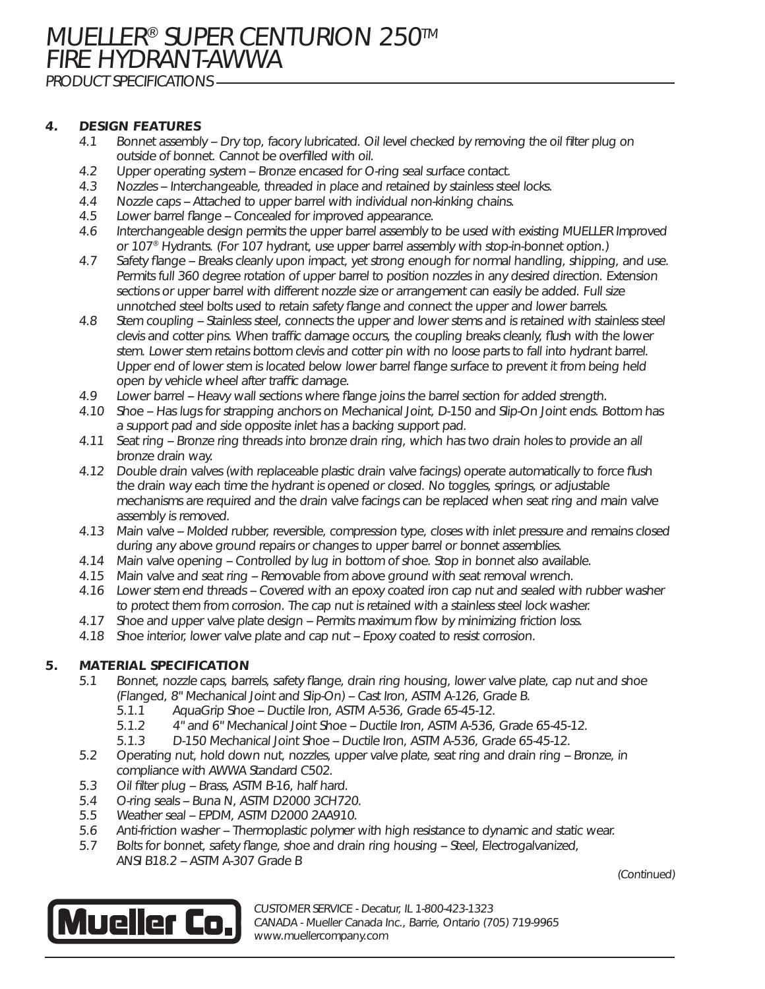## **4. DESIGN FEATURES**

- **4.1** Bonnet assembly -- Dry top, facory lubricated. Oil level checked by removing the oil filter plug on outside of bonnet. Cannot be overfilled with oil.
- 4.2 Upper operating system -- Bronze encased for O-ring seal surface contact.
- 4.3 Nozzles -- Interchangeable, threaded in place and retained by stainless steel locks.
- 4.4 Nozzle caps -- Attached to upper barrel with individual non-kinking chains.
- 4.5 Lower barrel flange -- Concealed for improved appearance.
- 4.6 Interchangeable design permits the upper barrel assembly to be used with existing MUELLER Improved or 107® Hydrants. (For 107 hydrant, use upper barrel assembly with stop-in-bonnet option.)
- 4.7 Safety flange -- Breaks cleanly upon impact, yet strong enough for normal handling, shipping, and use. Permits full 360 degree rotation of upper barrel to position nozzles in any desired direction. Extension sections or upper barrel with different nozzle size or arrangement can easily be added. Full size unnotched steel bolts used to retain safety flange and connect the upper and lower barrels.
- 4.8 Stem coupling -- Stainless steel, connects the upper and lower stems and is retained with stainless steel clevis and cotter pins. When traffic damage occurs, the coupling breaks cleanly, flush with the lower stem. Lower stem retains bottom clevis and cotter pin with no loose parts to fall into hydrant barrel. Upper end of lower stem is located below lower barrel flange surface to prevent it from being held open by vehicle wheel after traffic damage.
- 4.9 Lower barrel -- Heavy wall sections where flange joins the barrel section for added strength.
- 4.10 Shoe -- Has lugs for strapping anchors on Mechanical Joint, D-150 and Slip-On Joint ends. Bottom has <sup>a</sup> support pad and side opposite inlet has <sup>a</sup> backing support pad.
- 4.11 Seat ring -- Bronze ring threads into bronze drain ring, which has two drain holes to provide an all bronze drain way.
- 4.12 Double drain valves (with replaceable plastic drain valve facings) operate automatically to force flush the drain way each time the hydrant is opened or closed. No toggles, springs, or adjustable mechanisms are required and the drain valve facings can be replaced when seat ring and main valve assembly is removed.
- 4.13 Main valve -- Molded rubber, reversible, compression type, closes with inlet pressure and remains closed during any above ground repairs or changes to upper barrel or bonnet assemblies.
- 4.14 Main valve opening -- Controlled by lug in bottom of shoe. Stop in bonnet also available.
- 4.15 Main valve and seat ring -- Removable from above ground with seat removal wrench.
- 4.16 Lower stem end threads -- Covered with an epoxy coated iron cap nut and sealed with rubber washer to protect them from corrosion. The cap nut is retained with <sup>a</sup> stainless steel lock washer.
- 4.17 Shoe and upper valve plate design -- Permits maximum flow by minimizing friction loss.
- 4.18 Shoe interior, lower valve plate and cap nut -- Epoxy coated to resist corrosion.

### **5. MATERIAL SPECIFICATION**

- 5.1 Bonnet, nozzle caps, barrels, safety flange, drain ring housing, lower valve plate, cap nut and shoe (Flanged, 8" Mechanical Joint and Slip-On) -- Cast Iron, ASTM A-126, Grade B.
	- 5.1.1 AquaGrip Shoe -- Ductile Iron, ASTM A-536, Grade 65-45-12.
	- 5.1.2 4" and 6" Mechanical Joint Shoe -- Ductile Iron, ASTM A-536, Grade 65-45-12.
	- 5.1.3 D-150 Mechanical Joint Shoe -- Ductile Iron, ASTM A-536, Grade 65-45-12.
- 5.2 Operating nut, hold down nut, nozzles, upper valve plate, seat ring and drain ring -- Bronze, in compliance with AWWA Standard C502.
- 5.3 Oil filter plug -- Brass, ASTM B-16, half hard.
- 5.4 O-ring seals -- Buna N, ASTM D2000 3CH720.
- 5.5 Weather seal -- EPDM, ASTM D2000 2AA910.
- 5.6 Anti-friction washer -- Thermoplastic polymer with high resistance to dynamic and static wear.
- 5.7 Bolts for bonnet, safety flange, shoe and drain ring housing -- Steel, Electrogalvanized, ANSI B18.2 -- ASTM A-307 Grade B



CUSTOMER SERVICE - Decatur, IL 1-800-423-1323 CANADA - Mueller Canada Inc., Barrie, Ontario (705) 719-9965 www.muellercompany.com

(Continued)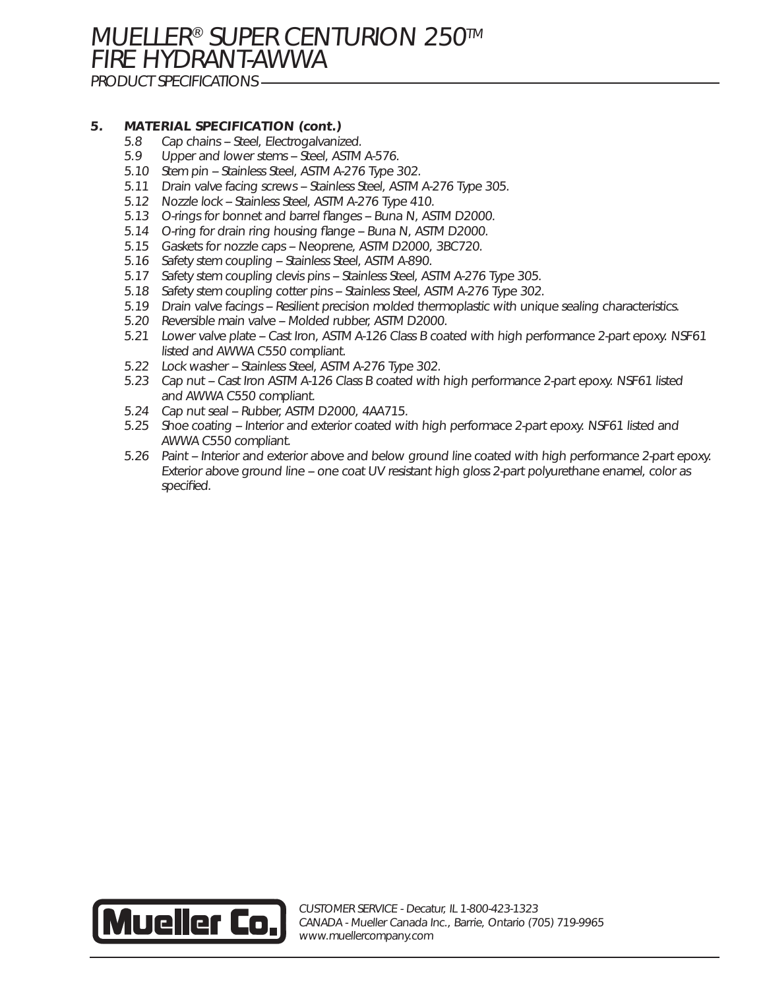# **MUELLER® SUPER CENTURION 250™** FIRE HYDRANT-AWWA

PRODUCT SPECIFICATIONS

## **5. MATERIAL SPECIFICATION (cont.)**

- 5.8 Cap chains -- Steel, Electrogalvanized.
- 5.9 Upper and lower stems -- Steel, ASTM A-576.
- 5.10 Stem pin -- Stainless Steel, ASTM A-276 Type 302.
- 5.11 Drain valve facing screws -- Stainless Steel, ASTM A-276 Type 305.
- 5.12 Nozzle lock -- Stainless Steel, ASTM A-276 Type 410.
- 5.13 O-rings for bonnet and barrel flanges -- Buna N, ASTM D2000.
- 5.14 O-ring for drain ring housing flange -- Buna N, ASTM D2000.
- 5.15 Gaskets for nozzle caps -- Neoprene, ASTM D2000, 3BC720.
- 5.16 Safety stem coupling -- Stainless Steel, ASTM A-890.
- 5.17 Safety stem coupling clevis pins -- Stainless Steel, ASTM A-276 Type 305.
- 5.18 Safety stem coupling cotter pins -- Stainless Steel, ASTM A-276 Type 302.
- 5.19 Drain valve facings -- Resilient precision molded thermoplastic with unique sealing characteristics.
- 5.20 Reversible main valve -- Molded rubber, ASTM D2000.
- 5.21 Lower valve plate -- Cast Iron, ASTM A-126 Class B coated with high performance 2-part epoxy. NSF61 listed and AWWA C550 compliant.
- 5.22 Lock washer -- Stainless Steel, ASTM A-276 Type 302.
- 5.23 Cap nut -- Cast Iron ASTM A-126 Class B coated with high performance 2-part epoxy. NSF61 listed and AWWA C550 compliant.
- 5.24 Cap nut seal -- Rubber, ASTM D2000, 4AA715.
- 5.25 Shoe coating -- Interior and exterior coated with high performace 2-part epoxy. NSF61 listed and AWWA C550 compliant.
- 5.26 Paint -- Interior and exterior above and below ground line coated with high performance 2-part epoxy. Exterior above ground line -- one coat UV resistant high gloss 2-part polyurethane enamel, color as specified.